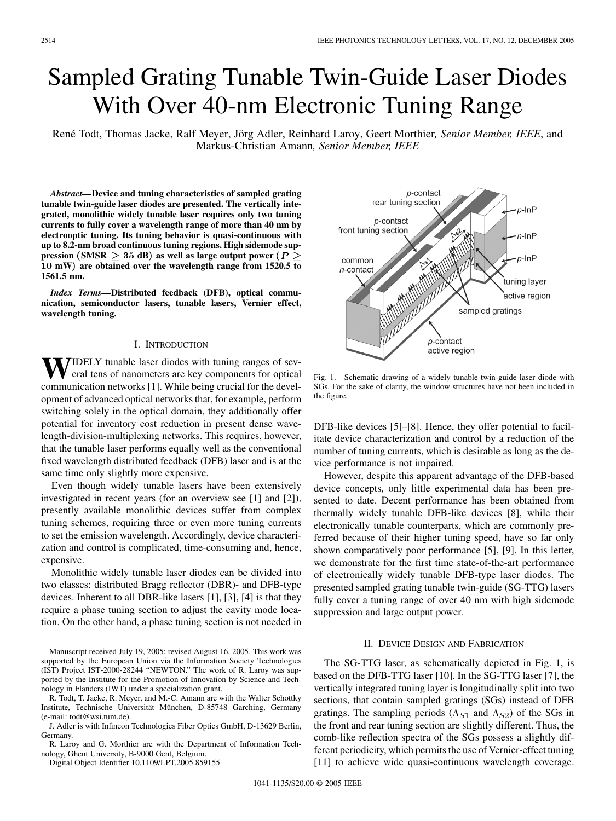# Sampled Grating Tunable Twin-Guide Laser Diodes With Over 40-nm Electronic Tuning Range

René Todt, Thomas Jacke, Ralf Meyer, Jörg Adler, Reinhard Laroy, Geert Morthier*, Senior Member, IEEE*, and Markus-Christian Amann*, Senior Member, IEEE*

*Abstract—***Device and tuning characteristics of sampled grating tunable twin-guide laser diodes are presented. The vertically integrated, monolithic widely tunable laser requires only two tuning currents to fully cover a wavelength range of more than 40 nm by electrooptic tuning. Its tuning behavior is quasi-continuous with up to 8.2-nm broad continuous tuning regions. High sidemode suppression** (SMSR  $\geq$  35 dB) as well as large output power ( $P \geq$ 10 **mW**) **are obtained over the wavelength range from 1520.5 to 1561.5 nm.**

*Index Terms—***Distributed feedback (DFB), optical communication, semiconductor lasers, tunable lasers, Vernier effect, wavelength tuning.**

#### I. INTRODUCTION

**TIDELY** tunable laser diodes with tuning ranges of several tens of nanometers are key components for optical communication networks [[1](#page-2-0)]. While being crucial for the development of advanced optical networks that, for example, perform switching solely in the optical domain, they additionally offer potential for inventory cost reduction in present dense wavelength-division-multiplexing networks. This requires, however, that the tunable laser performs equally well as the conventional fixed wavelength distributed feedback (DFB) laser and is at the same time only slightly more expensive.

Even though widely tunable lasers have been extensively investigated in recent years (for an overview see [[1\]](#page-2-0) and [[2\]](#page-2-0)), presently available monolithic devices suffer from complex tuning schemes, requiring three or even more tuning currents to set the emission wavelength. Accordingly, device characterization and control is complicated, time-consuming and, hence, expensive.

Monolithic widely tunable laser diodes can be divided into two classes: distributed Bragg reflector (DBR)- and DFB-type devices. Inherent to all DBR-like lasers [[1\]](#page-2-0), [\[3](#page-2-0)], [\[4](#page-2-0)] is that they require a phase tuning section to adjust the cavity mode location. On the other hand, a phase tuning section is not needed in

Manuscript received July 19, 2005; revised August 16, 2005. This work was supported by the European Union via the Information Society Technologies (IST) Project IST-2000-28244 "NEWTON." The work of R. Laroy was supported by the Institute for the Promotion of Innovation by Science and Technology in Flanders (IWT) under a specialization grant.

R. Todt, T. Jacke, R. Meyer, and M.-C. Amann are with the Walter Schottky Institute, Technische Universität München, D-85748 Garching, Germany (e-mail: todt@wsi.tum.de).

J. Adler is with Infineon Technologies Fiber Optics GmbH, D-13629 Berlin, Germany.

R. Laroy and G. Morthier are with the Department of Information Technology, Ghent University, B-9000 Gent, Belgium.

Digital Object Identifier 10.1109/LPT.2005.859155



Fig. 1. Schematic drawing of a widely tunable twin-guide laser diode with SGs. For the sake of clarity, the window structures have not been included in the figure.

DFB-like devices [[5](#page-2-0)]–[\[8](#page-2-0)]. Hence, they offer potential to facilitate device characterization and control by a reduction of the number of tuning currents, which is desirable as long as the device performance is not impaired.

However, despite this apparent advantage of the DFB-based device concepts, only little experimental data has been presented to date. Decent performance has been obtained from thermally widely tunable DFB-like devices [[8\]](#page-2-0), while their electronically tunable counterparts, which are commonly preferred because of their higher tuning speed, have so far only shown comparatively poor performance [\[5](#page-2-0)], [[9\]](#page-2-0). In this letter, we demonstrate for the first time state-of-the-art performance of electronically widely tunable DFB-type laser diodes. The presented sampled grating tunable twin-guide (SG-TTG) lasers fully cover a tuning range of over 40 nm with high sidemode suppression and large output power.

## II. DEVICE DESIGN AND FABRICATION

The SG-TTG laser, as schematically depicted in Fig. 1, is based on the DFB-TTG laser [\[10](#page-2-0)]. In the SG-TTG laser [\[7](#page-2-0)], the vertically integrated tuning layer is longitudinally split into two sections, that contain sampled gratings (SGs) instead of DFB gratings. The sampling periods  $(\Lambda_{S1}$  and  $\Lambda_{S2})$  of the SGs in the front and rear tuning section are slightly different. Thus, the comb-like reflection spectra of the SGs possess a slightly different periodicity, which permits the use of Vernier-effect tuning [[11\]](#page-2-0) to achieve wide quasi-continuous wavelength coverage.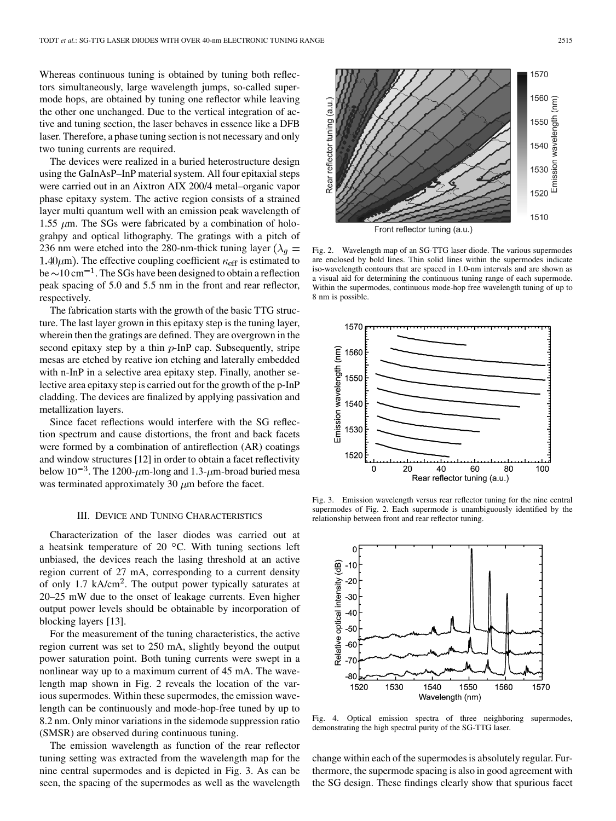Whereas continuous tuning is obtained by tuning both reflectors simultaneously, large wavelength jumps, so-called supermode hops, are obtained by tuning one reflector while leaving the other one unchanged. Due to the vertical integration of active and tuning section, the laser behaves in essence like a DFB laser. Therefore, a phase tuning section is not necessary and only two tuning currents are required.

The devices were realized in a buried heterostructure design using the GaInAsP–InP material system. All four epitaxial steps were carried out in an Aixtron AIX 200/4 metal–organic vapor phase epitaxy system. The active region consists of a strained layer multi quantum well with an emission peak wavelength of 1.55  $\mu$ m. The SGs were fabricated by a combination of holograhpy and optical lithography. The gratings with a pitch of 236 nm were etched into the 280-nm-thick tuning layer ( $\lambda_q =$ 1.40 $\mu$ m). The effective coupling coefficient  $\kappa$ <sub>eff</sub> is estimated to be  $\sim$  10 cm<sup>-1</sup>. The SGs have been designed to obtain a reflection peak spacing of 5.0 and 5.5 nm in the front and rear reflector, respectively.

The fabrication starts with the growth of the basic TTG structure. The last layer grown in this epitaxy step is the tuning layer, wherein then the gratings are defined. They are overgrown in the second epitaxy step by a thin  $p$ -InP cap. Subsequently, stripe mesas are etched by reative ion etching and laterally embedded with n-InP in a selective area epitaxy step. Finally, another selective area epitaxy step is carried out for the growth of the p-InP cladding. The devices are finalized by applying passivation and metallization layers.

Since facet reflections would interfere with the SG reflection spectrum and cause distortions, the front and back facets were formed by a combination of antireflection (AR) coatings and window structures [[12\]](#page-2-0) in order to obtain a facet reflectivity below  $10^{-3}$ . The 1200- $\mu$ m-long and 1.3- $\mu$ m-broad buried mesa was terminated approximately 30  $\mu$ m before the facet.

#### III. DEVICE AND TUNING CHARACTERISTICS

Characterization of the laser diodes was carried out at a heatsink temperature of 20  $^{\circ}$ C. With tuning sections left unbiased, the devices reach the lasing threshold at an active region current of 27 mA, corresponding to a current density of only 1.7 kA/cm<sup>2</sup>. The output power typically saturates at 20–25 mW due to the onset of leakage currents. Even higher output power levels should be obtainable by incorporation of blocking layers [[13\]](#page-2-0).

For the measurement of the tuning characteristics, the active region current was set to 250 mA, slightly beyond the output power saturation point. Both tuning currents were swept in a nonlinear way up to a maximum current of 45 mA. The wavelength map shown in Fig. 2 reveals the location of the various supermodes. Within these supermodes, the emission wavelength can be continuously and mode-hop-free tuned by up to 8.2 nm. Only minor variations in the sidemode suppression ratio (SMSR) are observed during continuous tuning.

The emission wavelength as function of the rear reflector tuning setting was extracted from the wavelength map for the nine central supermodes and is depicted in Fig. 3. As can be seen, the spacing of the supermodes as well as the wavelength

Fig. 2. Wavelength map of an SG-TTG laser diode. The various supermodes are enclosed by bold lines. Thin solid lines within the supermodes indicate iso-wavelength contours that are spaced in 1.0-nm intervals and are shown as a visual aid for determining the continuous tuning range of each supermode. Within the supermodes, continuous mode-hop free wavelength tuning of up to 8 nm is possible.



Fig. 3. Emission wavelength versus rear reflector tuning for the nine central supermodes of Fig. 2. Each supermode is unambiguously identified by the relationship between front and rear reflector tuning.



Fig. 4. Optical emission spectra of three neighboring supermodes, demonstrating the high spectral purity of the SG-TTG laser.

change within each of the supermodes is absolutely regular. Furthermore, the supermode spacing is also in good agreement with the SG design. These findings clearly show that spurious facet